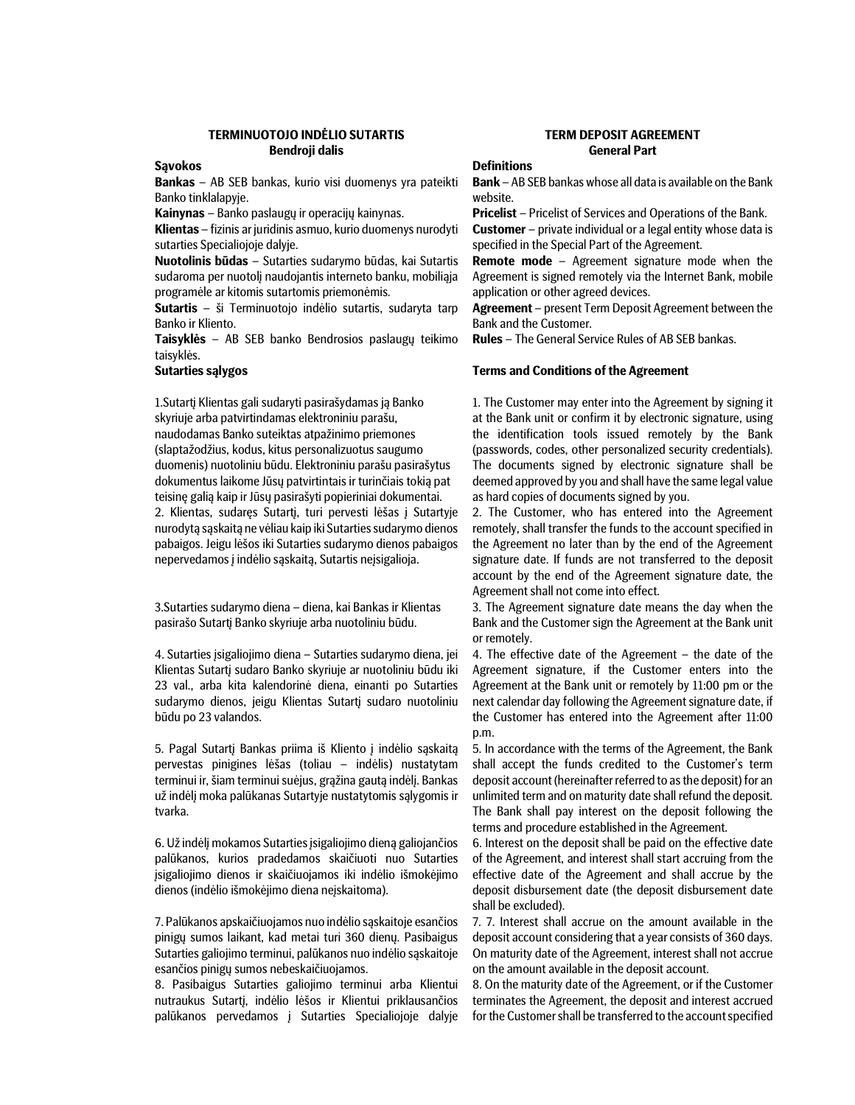# TERMINUOTOJO INDĖLIO SUTARTIS TERM DEPOSIT AGREEMENT Bendroji dalis General Part

## **Savokos**

Bankas – AB SEB bankas, kurio visi duomenys yra pateikti Banko tinklalapyje.

Kainynas – Banko paslaugų ir operacijų kainynas.

Klientas – fizinis ar juridinis asmuo, kurio duomenys nurodyti sutarties Specialiojoje dalyje.

Nuotolinis būdas – Sutarties sudarymo būdas, kai Sutartis sudaroma per nuotolį naudojantis interneto banku, mobiliąja programėle ar kitomis sutartomis priemonėmis.

Sutartis – ši Terminuotojo indėlio sutartis, sudaryta tarp Banko ir Kliento.

Taisyklės – AB SEB banko Bendrosios paslaugų teikimo taisyklės.

1.Sutartį Klientas gali sudaryti pasirašydamas ją Banko skyriuje arba patvirtindamas elektroniniu parašu, naudodamas Banko suteiktas atpažinimo priemones (slaptažodžius, kodus, kitus personalizuotus saugumo duomenis) nuotoliniu būdu. Elektroniniu parašu pasirašytus dokumentus laikome Jūsų patvirtintais ir turinčiais tokią pat teisinę galią kaip ir Jūsų pasirašyti popieriniai dokumentai. 2. Klientas, sudaręs Sutartį, turi pervesti lėšas į Sutartyje nurodytą sąskaitą ne vėliau kaip iki Sutarties sudarymo dienos pabaigos. Jeigu lėšos iki Sutarties sudarymo dienos pabaigos nepervedamos į indėlio sąskaitą, Sutartis neįsigalioja.

3.Sutarties sudarymo diena – diena, kai Bankas ir Klientas pasirašo Sutartį Banko skyriuje arba nuotoliniu būdu.

4. Sutarties įsigaliojimo diena – Sutarties sudarymo diena, jei Klientas Sutartį sudaro Banko skyriuje ar nuotoliniu būdu iki 23 val., arba kita kalendorinė diena, einanti po Sutarties sudarymo dienos, jeigu Klientas Sutartį sudaro nuotoliniu būdu po 23 valandos.

5. Pagal Sutartį Bankas priima iš Kliento į indėlio sąskaitą pervestas pinigines lėšas (toliau – indėlis) nustatytam terminui ir, šiam terminui suėjus, grąžina gautą indėlį. Bankas už indėlį moka palūkanas Sutartyje nustatytomis sąlygomis ir tvarka.

6. Už indėlį mokamos Sutarties įsigaliojimo dieną galiojančios palūkanos, kurios pradedamos skaičiuoti nuo Sutarties įsigaliojimo dienos ir skaičiuojamos iki indėlio išmokėjimo dienos (indėlio išmokėjimo diena neįskaitoma).

7. Palūkanos apskaičiuojamos nuo indėlio sąskaitoje esančios pinigų sumos laikant, kad metai turi 360 dienų. Pasibaigus Sutarties galiojimo terminui, palūkanos nuo indėlio sąskaitoje esančios pinigų sumos nebeskaičiuojamos.

8. Pasibaigus Sutarties galiojimo terminui arba Klientui nutraukus Sutartį, indėlio lėšos ir Klientui priklausančios palūkanos pervedamos į Sutarties Specialiojoje dalyje

### **Definitions**

Bank – AB SEB bankas whose all data is available on the Bank website.

Pricelist – Pricelist of Services and Operations of the Bank.

Customer – private individual or a legal entity whose data is specified in the Special Part of the Agreement.

Remote mode – Agreement signature mode when the Agreement is signed remotely via the Internet Bank, mobile application or other agreed devices.

Agreement – present Term Deposit Agreement between the Bank and the Customer.

Rules – The General Service Rules of AB SEB bankas.

### Sutarties sąlygos Terms and Conditions of the Agreement

1. The Customer may enter into the Agreement by signing it at the Bank unit or confirm it by electronic signature, using the identification tools issued remotely by the Bank (passwords, codes, other personalized security credentials). The documents signed by electronic signature shall be deemed approved by you and shall have the same legal value as hard copies of documents signed by you.

2. The Customer, who has entered into the Agreement remotely, shall transfer the funds to the account specified in the Agreement no later than by the end of the Agreement signature date. If funds are not transferred to the deposit account by the end of the Agreement signature date, the Agreement shall not come into effect.

3. The Agreement signature date means the day when the Bank and the Customer sign the Agreement at the Bank unit or remotely.

4. The effective date of the Agreement – the date of the Agreement signature, if the Customer enters into the Agreement at the Bank unit or remotely by 11:00 pm or the next calendar day following the Agreement signature date, if the Customer has entered into the Agreement after 11:00 p.m.

5. In accordance with the terms of the Agreement, the Bank shall accept the funds credited to the Customer's term deposit account (hereinafter referred to as the deposit) for an unlimited term and on maturity date shall refund the deposit. The Bank shall pay interest on the deposit following the terms and procedure established in the Agreement.

6. Interest on the deposit shall be paid on the effective date of the Agreement, and interest shall start accruing from the effective date of the Agreement and shall accrue by the deposit disbursement date (the deposit disbursement date shall be excluded).

7. 7. Interest shall accrue on the amount available in the deposit account considering that a year consists of 360 days. On maturity date of the Agreement, interest shall not accrue on the amount available in the deposit account.

8. On the maturity date of the Agreement, or if the Customer terminates the Agreement, the deposit and interest accrued for the Customer shall be transferred to the account specified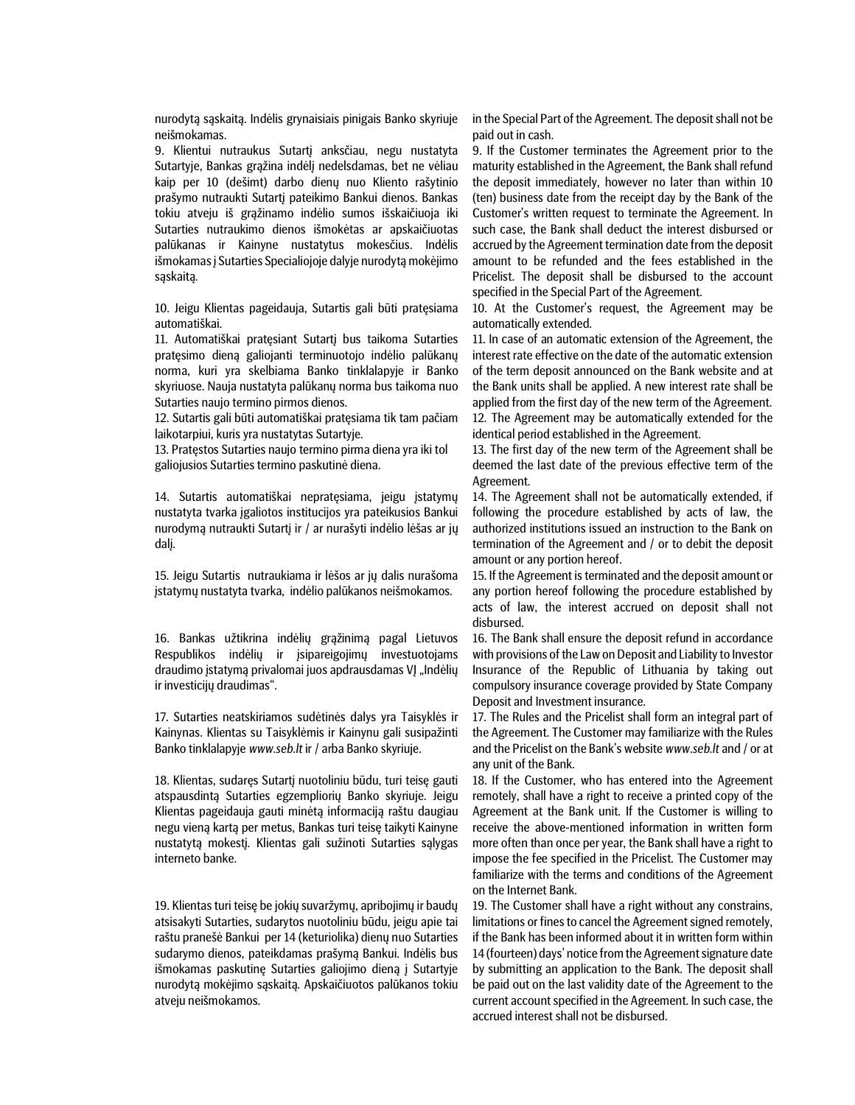nurodytą sąskaitą. Indėlis grynaisiais pinigais Banko skyriuje neišmokamas.

9. Klientui nutraukus Sutartį anksčiau, negu nustatyta Sutartyje, Bankas grąžina indėlį nedelsdamas, bet ne vėliau kaip per 10 (dešimt) darbo dienų nuo Kliento rašytinio prašymo nutraukti Sutartį pateikimo Bankui dienos. Bankas tokiu atveju iš grąžinamo indėlio sumos išskaičiuoja iki Sutarties nutraukimo dienos išmokėtas ar apskaičiuotas palūkanas ir Kainyne nustatytus mokesčius. Indėlis išmokamas į Sutarties Specialiojoje dalyje nurodytą mokėjimo sąskaitą.

10. Jeigu Klientas pageidauja, Sutartis gali būti pratęsiama automatiškai.

11. Automatiškai pratęsiant Sutartį bus taikoma Sutarties pratęsimo dieną galiojanti terminuotojo indėlio palūkanų norma, kuri yra skelbiama Banko tinklalapyje ir Banko skyriuose. Nauja nustatyta palūkanų norma bus taikoma nuo Sutarties naujo termino pirmos dienos.

12. Sutartis gali būti automatiškai pratęsiama tik tam pačiam laikotarpiui, kuris yra nustatytas Sutartyje.

13. Pratęstos Sutarties naujo termino pirma diena yra iki tol galiojusios Sutarties termino paskutinė diena.

14. Sutartis automatiškai nepratęsiama, jeigu įstatymų nustatyta tvarka įgaliotos institucijos yra pateikusios Bankui nurodymą nutraukti Sutartį ir / ar nurašyti indėlio lėšas ar jų dalį.

15. Jeigu Sutartis nutraukiama ir lėšos ar jų dalis nurašoma įstatymų nustatyta tvarka, indėlio palūkanos neišmokamos.

16. Bankas užtikrina indėlių grąžinimą pagal Lietuvos Respublikos indėlių ir įsipareigojimų investuotojams draudimo įstatymą privalomai juos apdrausdamas VJ "Indėlių ir investicijų draudimas".

17. Sutarties neatskiriamos sudėtinės dalys yra Taisyklės ir Kainynas. Klientas su Taisyklėmis ir Kainynu gali susipažinti Banko tinklalapyje www.seb.lt ir / arba Banko skyriuje.

18. Klientas, sudaręs Sutartį nuotoliniu būdu, turi teisę gauti atspausdintą Sutarties egzempliorių Banko skyriuje. Jeigu Klientas pageidauja gauti minėtą informaciją raštu daugiau negu vieną kartą per metus, Bankas turi teisę taikyti Kainyne nustatytą mokestį. Klientas gali sužinoti Sutarties sąlygas interneto banke.

19. Klientas turi teisę be jokių suvaržymų, apribojimų ir baudų atsisakyti Sutarties, sudarytos nuotoliniu būdu, jeigu apie tai raštu pranešė Bankui per 14 (keturiolika) dienų nuo Sutarties sudarymo dienos, pateikdamas prašymą Bankui. Indėlis bus išmokamas paskutinę Sutarties galiojimo dieną į Sutartyje nurodytą mokėjimo sąskaitą. Apskaičiuotos palūkanos tokiu atveju neišmokamos.

in the Special Part of the Agreement. The deposit shall not be paid out in cash.

9. If the Customer terminates the Agreement prior to the maturity established in the Agreement, the Bank shall refund the deposit immediately, however no later than within 10 (ten) business date from the receipt day by the Bank of the Customer's written request to terminate the Agreement. In such case, the Bank shall deduct the interest disbursed or accrued by the Agreement termination date from the deposit amount to be refunded and the fees established in the Pricelist. The deposit shall be disbursed to the account specified in the Special Part of the Agreement.

10. At the Customer's request, the Agreement may be automatically extended.

11. In case of an automatic extension of the Agreement, the interest rate effective on the date of the automatic extension of the term deposit announced on the Bank website and at the Bank units shall be applied. A new interest rate shall be applied from the first day of the new term of the Agreement. 12. The Agreement may be automatically extended for the identical period established in the Agreement.

13. The first day of the new term of the Agreement shall be deemed the last date of the previous effective term of the Agreement.

14. The Agreement shall not be automatically extended, if following the procedure established by acts of law, the authorized institutions issued an instruction to the Bank on termination of the Agreement and / or to debit the deposit amount or any portion hereof.

15. If the Agreement is terminated and the deposit amount or any portion hereof following the procedure established by acts of law, the interest accrued on deposit shall not disbursed.

16. The Bank shall ensure the deposit refund in accordance with provisions of the Law on Deposit and Liability to Investor Insurance of the Republic of Lithuania by taking out compulsory insurance coverage provided by State Company Deposit and Investment insurance.

17. The Rules and the Pricelist shall form an integral part of the Agreement. The Customer may familiarize with the Rules and the Pricelist on the Bank's website www.seb.lt and / or at any unit of the Bank.

18. If the Customer, who has entered into the Agreement remotely, shall have a right to receive a printed copy of the Agreement at the Bank unit. If the Customer is willing to receive the above-mentioned information in written form more often than once per year, the Bank shall have a right to impose the fee specified in the Pricelist. The Customer may familiarize with the terms and conditions of the Agreement on the Internet Bank.

19. The Customer shall have a right without any constrains, limitations or fines to cancel the Agreement signed remotely, if the Bank has been informed about it in written form within 14 (fourteen) days' notice from the Agreement signature date by submitting an application to the Bank. The deposit shall be paid out on the last validity date of the Agreement to the current account specified in the Agreement. In such case, the accrued interest shall not be disbursed.